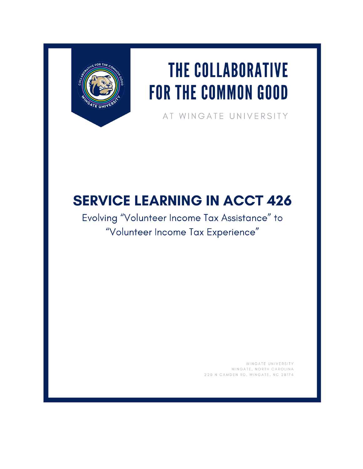

# THE COLLABORATIVE **FOR THE COMMON GOOD**

AT WINGATE UNIVERSITY

# **SERVICE LEARNING IN ACCT 426**

Evolving "Volunteer Income Tax Assistance" to "Volunteer Income Tax Experience"

> WINGATE UNIVERSITY WINGATE, NORTH CAROLINA 220 N CAMDEN RD, WINGATE, NC 28174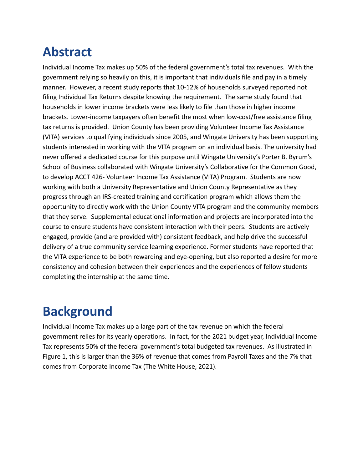## **Abstract**

Individual Income Tax makes up 50% of the federal government's total tax revenues. With the government relying so heavily on this, it is important that individuals file and pay in a timely manner. However, a recent study reports that 10-12% of households surveyed reported not filing Individual Tax Returns despite knowing the requirement. The same study found that households in lower income brackets were less likely to file than those in higher income brackets. Lower-income taxpayers often benefit the most when low-cost/free assistance filing tax returns is provided. Union County has been providing Volunteer Income Tax Assistance (VITA) services to qualifying individuals since 2005, and Wingate University has been supporting students interested in working with the VITA program on an individual basis. The university had never offered a dedicated course for this purpose until Wingate University's Porter B. Byrum's School of Business collaborated with Wingate University's Collaborative for the Common Good, to develop ACCT 426- Volunteer Income Tax Assistance (VITA) Program. Students are now working with both a University Representative and Union County Representative as they progress through an IRS-created training and certification program which allows them the opportunity to directly work with the Union County VITA program and the community members that they serve. Supplemental educational information and projects are incorporated into the course to ensure students have consistent interaction with their peers. Students are actively engaged, provide (and are provided with) consistent feedback, and help drive the successful delivery of a true community service learning experience. Former students have reported that the VITA experience to be both rewarding and eye-opening, but also reported a desire for more consistency and cohesion between their experiences and the experiences of fellow students completing the internship at the same time.

### **Background**

Individual Income Tax makes up a large part of the tax revenue on which the federal government relies for its yearly operations. In fact, for the 2021 budget year, Individual Income Tax represents 50% of the federal government's total budgeted tax revenues. As illustrated in Figure 1, this is larger than the 36% of revenue that comes from Payroll Taxes and the 7% that comes from Corporate Income Tax (The White House, 2021).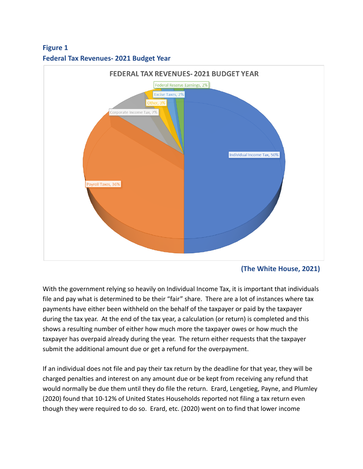#### **Figure 1**





**(The White House, 2021)**

With the government relying so heavily on Individual Income Tax, it is important that individuals file and pay what is determined to be their "fair" share. There are a lot of instances where tax payments have either been withheld on the behalf of the taxpayer or paid by the taxpayer during the tax year. At the end of the tax year, a calculation (or return) is completed and this shows a resulting number of either how much more the taxpayer owes or how much the taxpayer has overpaid already during the year. The return either requests that the taxpayer submit the additional amount due or get a refund for the overpayment.

If an individual does not file and pay their tax return by the deadline for that year, they will be charged penalties and interest on any amount due or be kept from receiving any refund that would normally be due them until they do file the return. Erard, Lengetieg, Payne, and Plumley (2020) found that 10-12% of United States Households reported not filing a tax return even though they were required to do so. Erard, etc. (2020) went on to find that lower income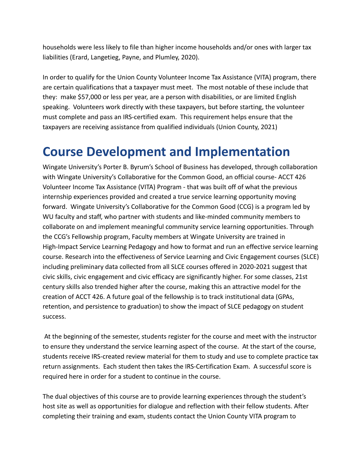households were less likely to file than higher income households and/or ones with larger tax liabilities (Erard, Langetieg, Payne, and Plumley, 2020).

In order to qualify for the Union County Volunteer Income Tax Assistance (VITA) program, there are certain qualifications that a taxpayer must meet. The most notable of these include that they: make \$57,000 or less per year, are a person with disabilities, or are limited English speaking. Volunteers work directly with these taxpayers, but before starting, the volunteer must complete and pass an IRS-certified exam. This requirement helps ensure that the taxpayers are receiving assistance from qualified individuals (Union County, 2021)

### **Course Development and Implementation**

Wingate University's Porter B. Byrum's School of Business has developed, through collaboration with Wingate University's Collaborative for the Common Good, an official course- ACCT 426 Volunteer Income Tax Assistance (VITA) Program - that was built off of what the previous internship experiences provided and created a true service learning opportunity moving forward. Wingate University's Collaborative for the Common Good (CCG) is a program led by WU faculty and staff, who partner with students and like-minded community members to collaborate on and implement meaningful community service learning opportunities. Through the CCG's Fellowship program, Faculty members at Wingate University are trained in High-Impact Service Learning Pedagogy and how to format and run an effective service learning course. Research into the effectiveness of Service Learning and Civic Engagement courses (SLCE) including preliminary data collected from all SLCE courses offered in 2020-2021 suggest that civic skills, civic engagement and civic efficacy are significantly higher. For some classes, 21st century skills also trended higher after the course, making this an attractive model for the creation of ACCT 426. A future goal of the fellowship is to track institutional data (GPAs, retention, and persistence to graduation) to show the impact of SLCE pedagogy on student success.

At the beginning of the semester, students register for the course and meet with the instructor to ensure they understand the service learning aspect of the course. At the start of the course, students receive IRS-created review material for them to study and use to complete practice tax return assignments. Each student then takes the IRS-Certification Exam. A successful score is required here in order for a student to continue in the course.

The dual objectives of this course are to provide learning experiences through the student's host site as well as opportunities for dialogue and reflection with their fellow students. After completing their training and exam, students contact the Union County VITA program to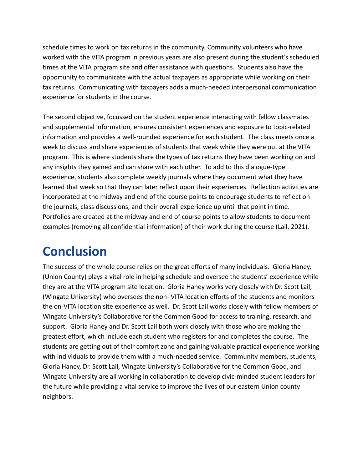schedule times to work on tax returns in the community. Community volunteers who have worked with the VITA program in previous years are also present during the student's scheduled times at the VITA program site and offer assistance with questions. Students also have the opportunity to communicate with the actual taxpayers as appropriate while working on their tax returns. Communicating with taxpayers adds a much-needed interpersonal communication experience for students in the course.

The second objective, focussed on the student experience interacting with fellow classmates and supplemental information, ensures consistent experiences and exposure to topic-related information and provides a well-rounded experience for each student. The class meets once a week to discuss and share experiences of students that week while they were out at the VITA program. This is where students share the types of tax returns they have been working on and any insights they gained and can share with each other. To add to this dialogue-type experience, students also complete weekly journals where they document what they have learned that week so that they can later reflect upon their experiences. Reflection activities are incorporated at the midway and end of the course points to encourage students to reflect on the journals, class discussions, and their overall experience up until that point in time. Portfolios are created at the midway and end of course points to allow students to document examples (removing all confidential information) of their work during the course (Lail, 2021).

### **Conclusion**

The success of the whole course relies on the great efforts of many individuals. Gloria Haney, (Union County) plays a vital role in helping schedule and oversee the students' experience while they are at the VITA program site location. Gloria Haney works very closely with Dr. Scott Lail, (Wingate University) who oversees the non- VITA location efforts of the students and monitors the on-VITA location site experience as well. Dr. Scott Lail works closely with fellow members of Wingate University's Collaborative for the Common Good for access to training, research, and support. Gloria Haney and Dr. Scott Lail both work closely with those who are making the greatest effort, which include each student who registers for and completes the course. The students are getting out of their comfort zone and gaining valuable practical experience working with individuals to provide them with a much-needed service. Community members, students, Gloria Haney, Dr. Scott Lail, Wingate University's Collaborative for the Common Good, and Wingate University are all working in collaboration to develop civic-minded student leaders for the future while providing a vital service to improve the lives of our eastern Union county neighbors.